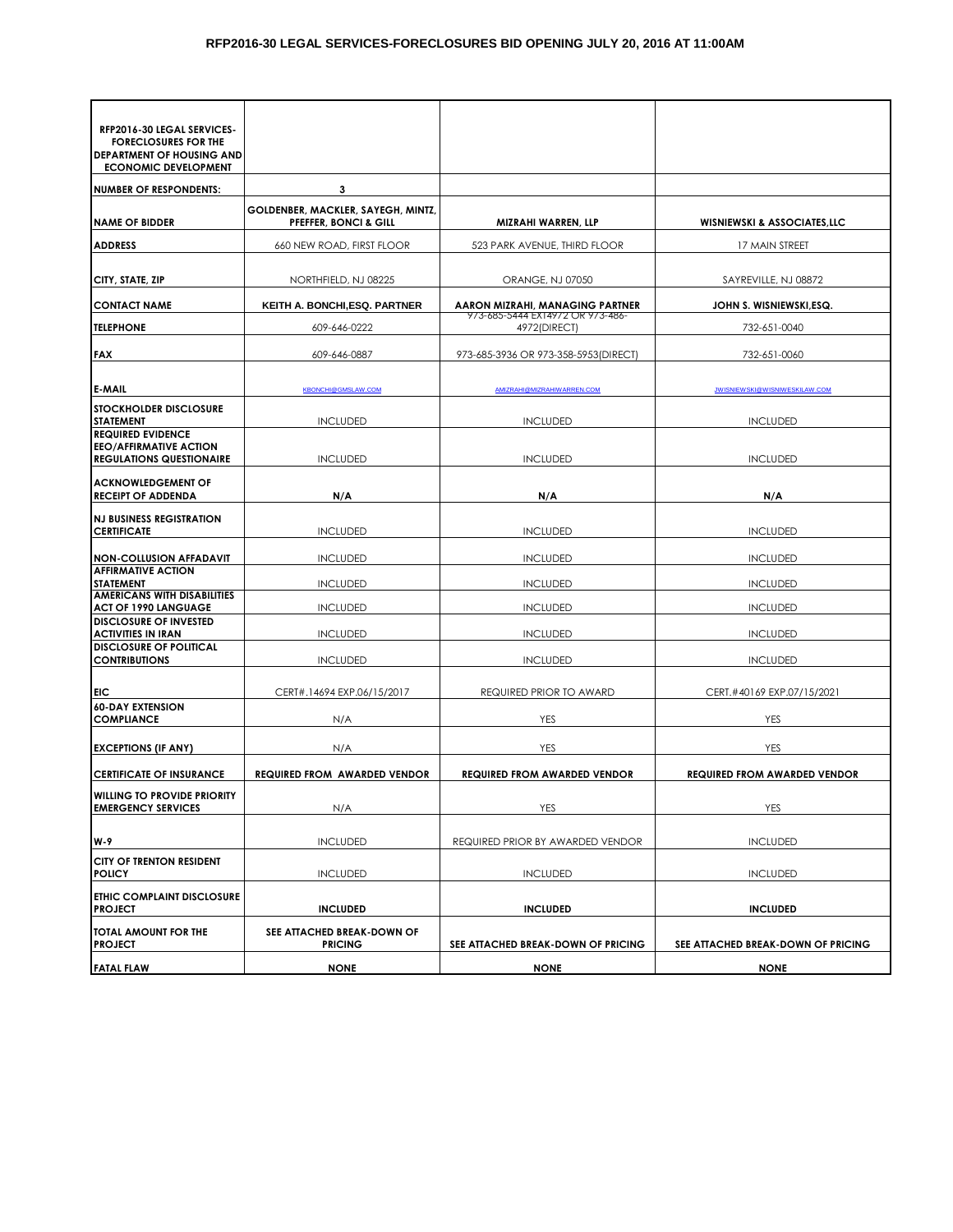| RFP2016-30 LEGAL SERVICES-<br><b>FORECLOSURES FOR THE</b><br>DEPARTMENT OF HOUSING AND<br><b>ECONOMIC DEVELOPMENT</b> |                                                             |                                                  |                                         |  |
|-----------------------------------------------------------------------------------------------------------------------|-------------------------------------------------------------|--------------------------------------------------|-----------------------------------------|--|
| <b>NUMBER OF RESPONDENTS:</b>                                                                                         | 3                                                           |                                                  |                                         |  |
| <b>NAME OF BIDDER</b>                                                                                                 | GOLDENBER, MACKLER, SAYEGH, MINTZ,<br>PFEFFER, BONCI & GILL | MIZRAHI WARREN, LLP                              | <b>WISNIEWSKI &amp; ASSOCIATES, LLC</b> |  |
| <b>ADDRESS</b>                                                                                                        | 660 NEW ROAD, FIRST FLOOR                                   | 523 PARK AVENUE, THIRD FLOOR                     | 17 MAIN STREET                          |  |
| CITY, STATE, ZIP                                                                                                      | NORTHFIELD, NJ 08225                                        | ORANGE, NJ 07050                                 | SAYREVILLE, NJ 08872                    |  |
| <b>CONTACT NAME</b>                                                                                                   | KEITH A. BONCHI, ESQ. PARTNER                               | AARON MIZRAHI, MANAGING PARTNER                  | JOHN S. WISNIEWSKI.ESQ.                 |  |
| <b>TELEPHONE</b>                                                                                                      | 609-646-0222                                                | 973-685-5444 EX14972 OR 973-486-<br>4972(DIRECT) | 732-651-0040                            |  |
|                                                                                                                       |                                                             |                                                  |                                         |  |
| <b>FAX</b>                                                                                                            | 609-646-0887                                                | 973-685-3936 OR 973-358-5953 (DIRECT)            | 732-651-0060                            |  |
| <b>E-MAIL</b>                                                                                                         | <b>KBONCHI@GMSLAW.COM</b>                                   | AMIZRAHI@MIZRAHIWARREN.COM                       | <b>JWISNIEWSKI@WISNIWESKILAW.COM</b>    |  |
| <b>STOCKHOLDER DISCLOSURE</b><br><b>STATEMENT</b>                                                                     | <b>INCLUDED</b>                                             | <b>INCLUDED</b>                                  | <b>INCLUDED</b>                         |  |
| <b>REQUIRED EVIDENCE</b><br><b>EEO/AFFIRMATIVE ACTION</b><br><b>REGULATIONS QUESTIONAIRE</b>                          | <b>INCLUDED</b>                                             | <b>INCLUDED</b>                                  | <b>INCLUDED</b>                         |  |
| <b>ACKNOWLEDGEMENT OF</b><br><b>RECEIPT OF ADDENDA</b>                                                                | N/A                                                         | N/A                                              | N/A                                     |  |
| <b>NJ BUSINESS REGISTRATION</b><br><b>CERTIFICATE</b>                                                                 | <b>INCLUDED</b>                                             | <b>INCLUDED</b>                                  | <b>INCLUDED</b>                         |  |
| <b>NON-COLLUSION AFFADAVIT</b>                                                                                        | <b>INCLUDED</b>                                             | <b>INCLUDED</b>                                  | <b>INCLUDED</b>                         |  |
| <b>AFFIRMATIVE ACTION</b><br><b>STATEMENT</b>                                                                         | <b>INCLUDED</b>                                             | <b>INCLUDED</b>                                  | <b>INCLUDED</b>                         |  |
| <b>AMERICANS WITH DISABILITIES</b>                                                                                    |                                                             |                                                  |                                         |  |
| <b>ACT OF 1990 LANGUAGE</b><br><b>DISCLOSURE OF INVESTED</b>                                                          | <b>INCLUDED</b>                                             | <b>INCLUDED</b>                                  | <b>INCLUDED</b>                         |  |
| <b>ACTIVITIES IN IRAN</b><br><b>DISCLOSURE OF POLITICAL</b>                                                           | <b>INCLUDED</b>                                             | <b>INCLUDED</b>                                  | <b>INCLUDED</b>                         |  |
| <b>CONTRIBUTIONS</b>                                                                                                  | <b>INCLUDED</b>                                             | <b>INCLUDED</b>                                  | <b>INCLUDED</b>                         |  |
| EIC                                                                                                                   | CERT#.14694 EXP.06/15/2017                                  | REQUIRED PRIOR TO AWARD                          | CERT.#40169 EXP.07/15/2021              |  |
| <b>60-DAY EXTENSION</b>                                                                                               |                                                             |                                                  |                                         |  |
| <b>COMPLIANCE</b>                                                                                                     | N/A                                                         | YES                                              | YES                                     |  |
| <b>EXCEPTIONS (IF ANY)</b>                                                                                            | N/A                                                         | YES                                              | YES                                     |  |
| <b>CERTIFICATE OF INSURANCE</b>                                                                                       | <b>REQUIRED FROM AWARDED VENDOR</b>                         | <b>REQUIRED FROM AWARDED VENDOR</b>              | <b>REQUIRED FROM AWARDED VENDOR</b>     |  |
| <b>WILLING TO PROVIDE PRIORITY</b><br><b>EMERGENCY SERVICES</b>                                                       | N/A                                                         | YES                                              | YES                                     |  |
| W-9                                                                                                                   | <b>INCLUDED</b>                                             | REQUIRED PRIOR BY AWARDED VENDOR                 | <b>INCLUDED</b>                         |  |
| <b>CITY OF TRENTON RESIDENT</b><br><b>POLICY</b>                                                                      | <b>INCLUDED</b>                                             | <b>INCLUDED</b>                                  | <b>INCLUDED</b>                         |  |
| ETHIC COMPLAINT DISCLOSURE<br><b>PROJECT</b>                                                                          | <b>INCLUDED</b>                                             | <b>INCLUDED</b>                                  | <b>INCLUDED</b>                         |  |
| TOTAL AMOUNT FOR THE<br><b>PROJECT</b>                                                                                | SEE ATTACHED BREAK-DOWN OF<br><b>PRICING</b>                | SEE ATTACHED BREAK-DOWN OF PRICING               | SEE ATTACHED BREAK-DOWN OF PRICING      |  |
| <b>FATAL FLAW</b>                                                                                                     | <b>NONE</b>                                                 | <b>NONE</b>                                      | <b>NONE</b>                             |  |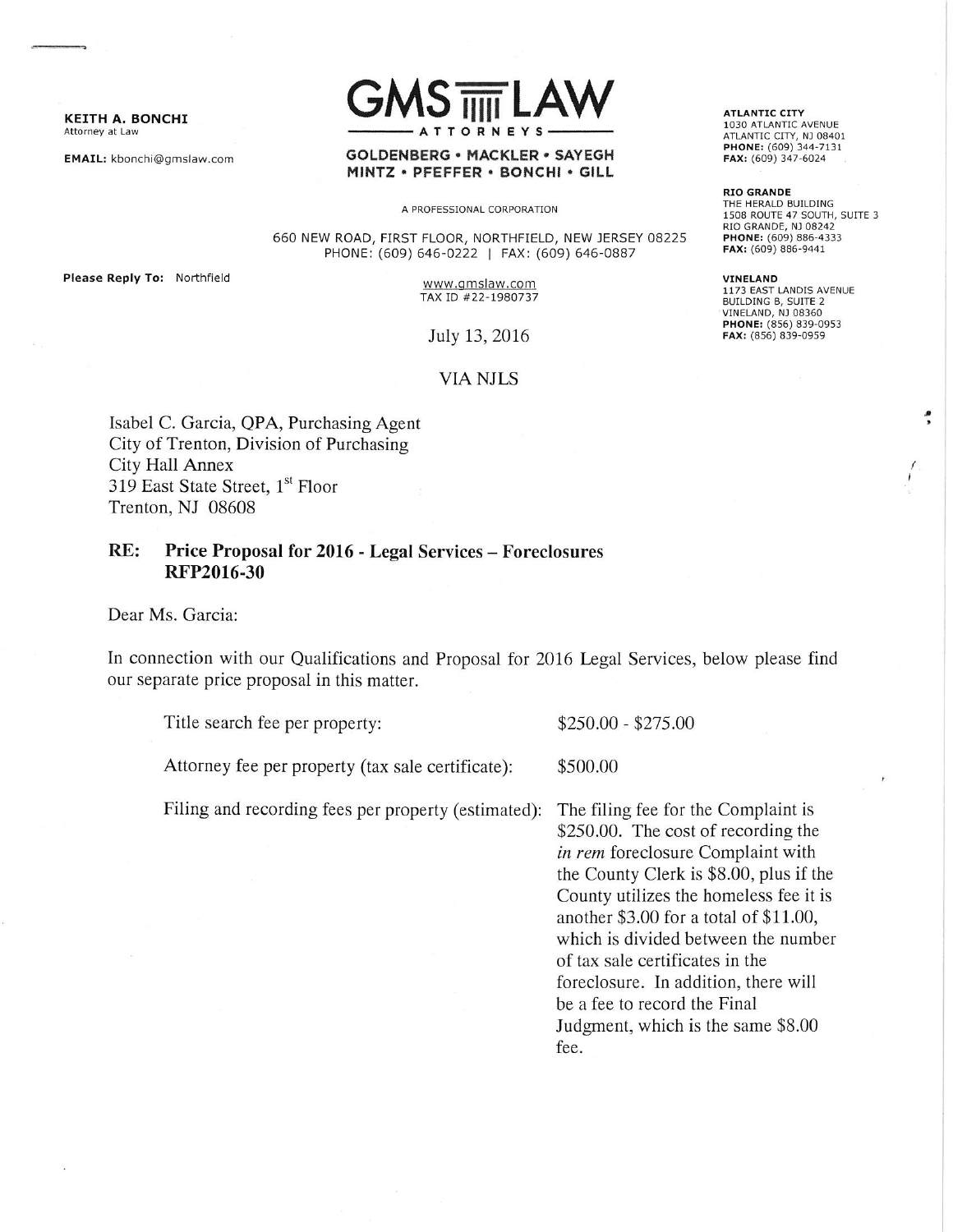KEITH A. BONCHI Attorney at Law

EMAIL: kbonchi@gmslaw.com



### **GOLDENBERG · MACKLER · SAYEGH** MINTZ · PFEFFER · BONCHI · GILL

A PROFESSIONAL CORPORATION

660 NEW ROAD, FIRST FLOOR, NORTHFIELD, NEW JERSEY 08225 PHONE: (609) 646-0222 | FAX: (609) 646-0887

Please Reply To: Northfield

www.gmslaw.com TAX ID #22-1980737

July 13, 2016

# **VIA NJLS**

Isabel C. Garcia, QPA, Purchasing Agent City of Trenton, Division of Purchasing **City Hall Annex** 319 East State Street, 1<sup>st</sup> Floor Trenton, NJ 08608

### RE: Price Proposal for 2016 - Legal Services - Foreclosures RFP2016-30

Dear Ms. Garcia:

In connection with our Qualifications and Proposal for 2016 Legal Services, below please find our separate price proposal in this matter.

Title search fee per property:

Attorney fee per property (tax sale certificate): \$500.00

Filing and recording fees per property (estimated):

The filing fee for the Complaint is \$250.00. The cost of recording the in rem foreclosure Complaint with the County Clerk is \$8.00, plus if the County utilizes the homeless fee it is another \$3.00 for a total of \$11.00, which is divided between the number of tax sale certificates in the foreclosure. In addition, there will be a fee to record the Final Judgment, which is the same \$8.00 fee.

 $$250.00 - $275.00$ 

**ATLANTIC CITY** 1030 ATLANTIC AVENUE ATLANTIC CITY, NJ 08401 PHONE: (609) 344-7131 FAX: (609) 347-6024

**RIO GRANDE** THE HERALD BUILDING 1508 ROUTE 47 SOUTH, SUITE 3 RIO GRANDE, NJ 08242 PHONE: (609) 886-4333 FAX: (609) 886-9441

VINELAND 1173 EAST LANDIS AVENUE<br>BUILDING B, SUITE 2 **VINELAND, NJ 08360** PHONE: (856) 839-0953 FAX: (856) 839-0959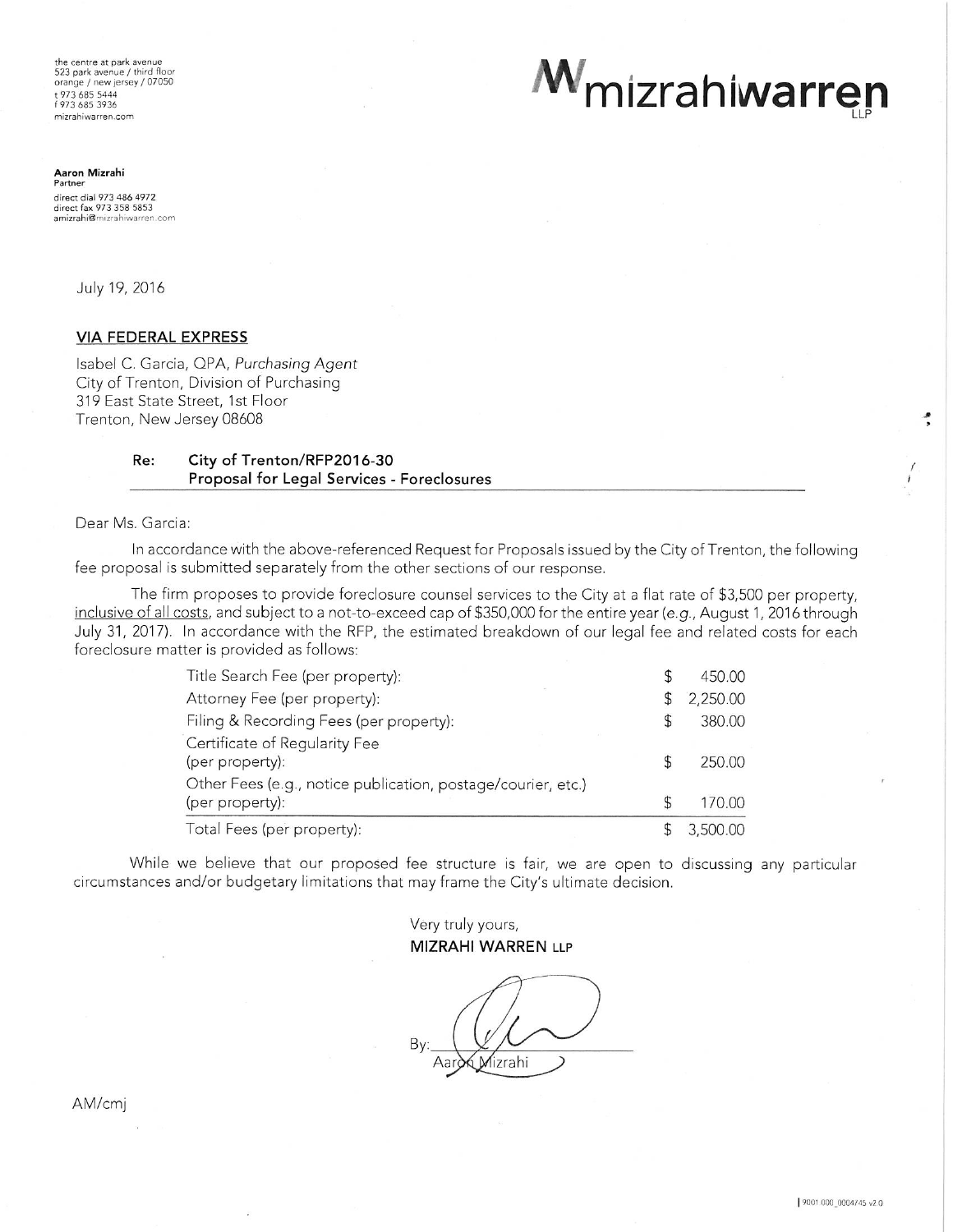the centre at park avenue<br>523 park avenue / third floor orange / new jersey / 07050 973 685 5444 f 973 685 3936 mizrahiwarren.com

M<sub>mizrahiwarren</sub>

**Aaron Mizrahi**<br>Partner direct dial 973 486 4972 direct fax 973 358 5853 amizrahi@mizrahiwarren.com

July 19, 2016

## **VIA FEDERAL EXPRESS**

Isabel C. Garcia, QPA, Purchasing Agent City of Trenton, Division of Purchasing 319 East State Street, 1st Floor Trenton, New Jersey 08608

#### Re: City of Trenton/RFP2016-30 Proposal for Legal Services - Foreclosures

Dear Ms. Garcia:

In accordance with the above-referenced Request for Proposals issued by the City of Trenton, the following fee proposal is submitted separately from the other sections of our response.

The firm proposes to provide foreclosure counsel services to the City at a flat rate of \$3,500 per property, inclusive of all costs, and subject to a not-to-exceed cap of \$350,000 for the entire year (e.g., August 1, 2016 through July 31, 2017). In accordance with the RFP, the estimated breakdown of our legal fee and related costs for each foreclosure matter is provided as follows:

| Title Search Fee (per property):                             |  | 450.00   |
|--------------------------------------------------------------|--|----------|
| Attorney Fee (per property):                                 |  | 2,250.00 |
| Filing & Recording Fees (per property):                      |  | 380.00   |
| Certificate of Regularity Fee                                |  |          |
| (per property):                                              |  | 250.00   |
| Other Fees (e.g., notice publication, postage/courier, etc.) |  |          |
| (per property):                                              |  | 170.00   |
| Total Fees (per property):                                   |  | 3,500.00 |

While we believe that our proposed fee structure is fair, we are open to discussing any particular circumstances and/or budgetary limitations that may frame the City's ultimate decision.

> Very truly yours, **MIZRAHI WARREN LLP**

Mizrahi

AM/cmj